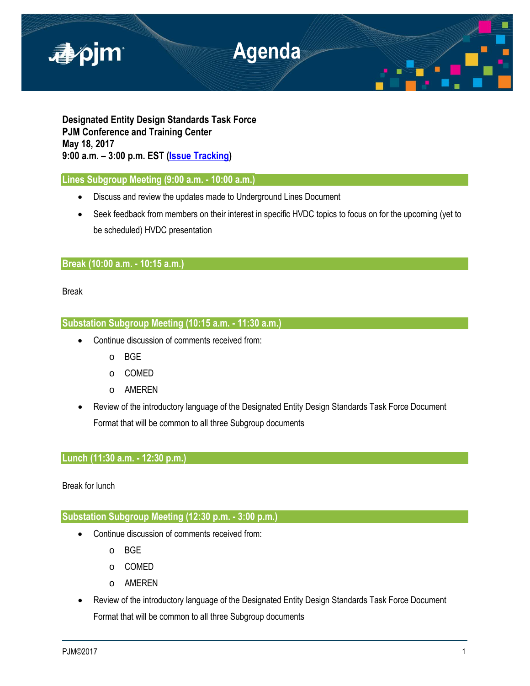

**Designated Entity Design Standards Task Force PJM Conference and Training Center May 18, 2017 9:00 a.m. – 3:00 p.m. EST [\(Issue Tracking\)](http://www.pjm.com/committees-and-groups/issue-tracking/issue-tracking-details.aspx?Issue=%7bE6133A76-DEC6-49DD-89E3-F5ECC642EA67%7d)**

### **Lines Subgroup Meeting (9:00 a.m. - 10:00 a.m.)**

- Discuss and review the updates made to Underground Lines Document
- Seek feedback from members on their interest in specific HVDC topics to focus on for the upcoming (yet to be scheduled) HVDC presentation

## **Break (10:00 a.m. - 10:15 a.m.)**

Break

# **Substation Subgroup Meeting (10:15 a.m. - 11:30 a.m.)**

- Continue discussion of comments received from:
	- o BGE
	- o COMED
	- o AMEREN
- Review of the introductory language of the Designated Entity Design Standards Task Force Document Format that will be common to all three Subgroup documents

## **Lunch (11:30 a.m. - 12:30 p.m.)**

Break for lunch

## **Substation Subgroup Meeting (12:30 p.m. - 3:00 p.m.)**

- Continue discussion of comments received from:
	- o BGE
	- o COMED
	- o AMEREN
- Review of the introductory language of the Designated Entity Design Standards Task Force Document Format that will be common to all three Subgroup documents